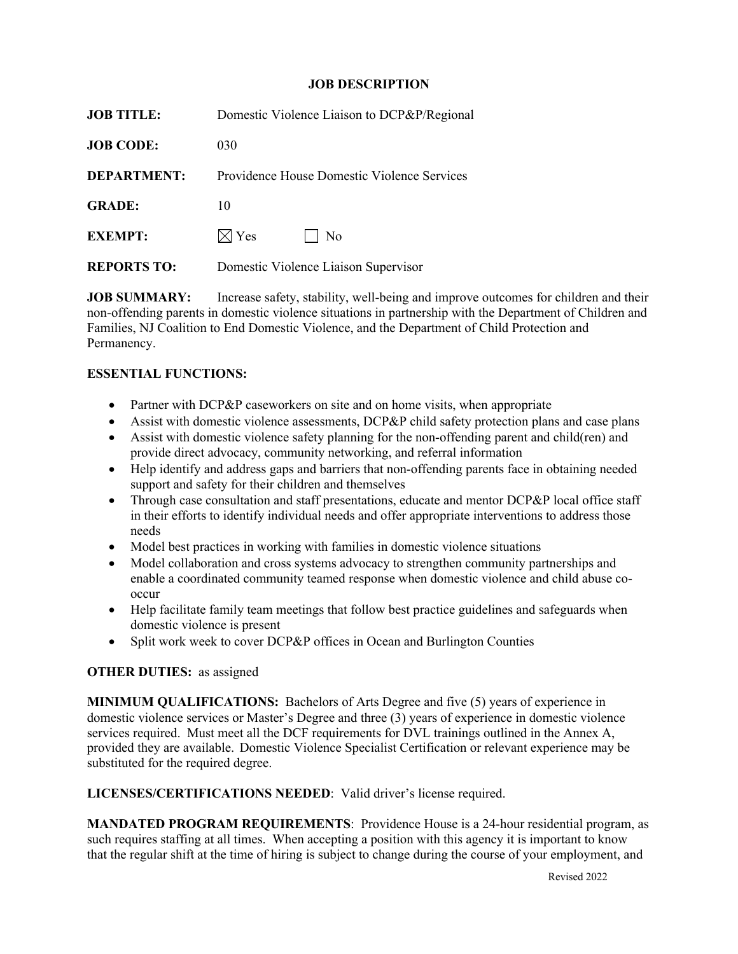## **JOB DESCRIPTION**

| <b>JOB TITLE:</b>  | Domestic Violence Liaison to DCP&P/Regional |  |  |  |  |  |  |
|--------------------|---------------------------------------------|--|--|--|--|--|--|
| <b>JOB CODE:</b>   | 030                                         |  |  |  |  |  |  |
| <b>DEPARTMENT:</b> | Providence House Domestic Violence Services |  |  |  |  |  |  |
| <b>GRADE:</b>      | 10                                          |  |  |  |  |  |  |
| <b>EXEMPT:</b>     | $\boxtimes$ Yes<br>N <sub>o</sub>           |  |  |  |  |  |  |
| <b>REPORTS TO:</b> | Domestic Violence Liaison Supervisor        |  |  |  |  |  |  |

**JOB SUMMARY:** Increase safety, stability, well-being and improve outcomes for children and their non-offending parents in domestic violence situations in partnership with the Department of Children and Families, NJ Coalition to End Domestic Violence, and the Department of Child Protection and Permanency.

## **ESSENTIAL FUNCTIONS:**

- Partner with DCP&P caseworkers on site and on home visits, when appropriate
- Assist with domestic violence assessments, DCP&P child safety protection plans and case plans
- Assist with domestic violence safety planning for the non-offending parent and child(ren) and provide direct advocacy, community networking, and referral information
- Help identify and address gaps and barriers that non-offending parents face in obtaining needed support and safety for their children and themselves
- Through case consultation and staff presentations, educate and mentor DCP&P local office staff in their efforts to identify individual needs and offer appropriate interventions to address those needs
- Model best practices in working with families in domestic violence situations
- Model collaboration and cross systems advocacy to strengthen community partnerships and enable a coordinated community teamed response when domestic violence and child abuse cooccur
- Help facilitate family team meetings that follow best practice guidelines and safeguards when domestic violence is present
- Split work week to cover DCP&P offices in Ocean and Burlington Counties

## **OTHER DUTIES:** as assigned

**MINIMUM QUALIFICATIONS:** Bachelors of Arts Degree and five (5) years of experience in domestic violence services or Master's Degree and three (3) years of experience in domestic violence services required. Must meet all the DCF requirements for DVL trainings outlined in the Annex A, provided they are available. Domestic Violence Specialist Certification or relevant experience may be substituted for the required degree.

**LICENSES/CERTIFICATIONS NEEDED**: Valid driver's license required.

**MANDATED PROGRAM REQUIREMENTS**: Providence House is a 24-hour residential program, as such requires staffing at all times. When accepting a position with this agency it is important to know that the regular shift at the time of hiring is subject to change during the course of your employment, and

Revised 2022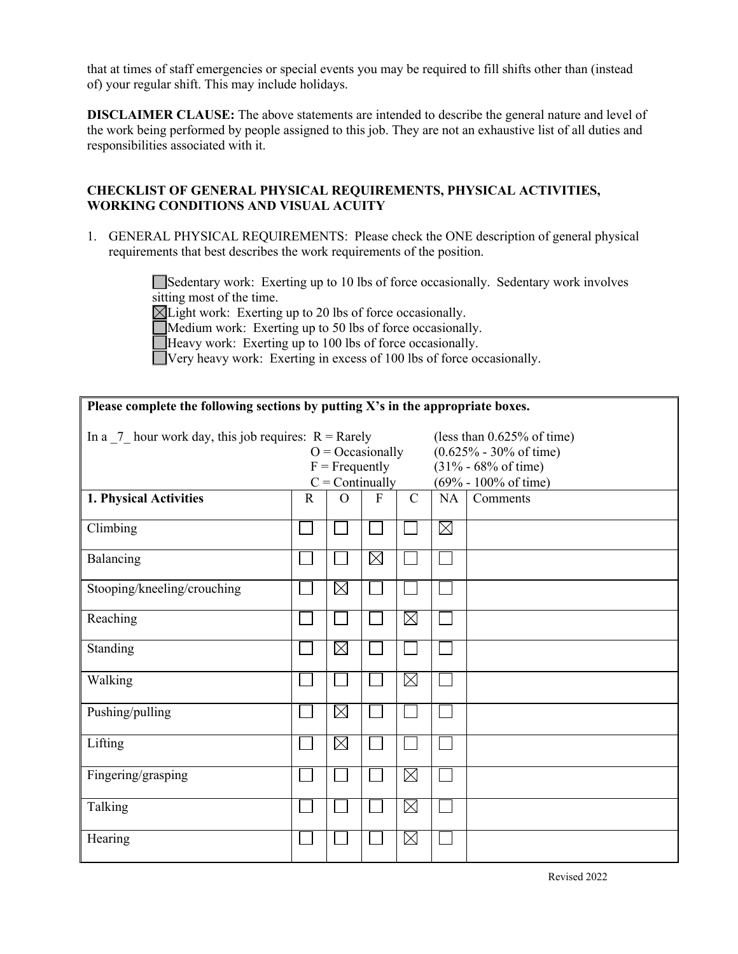that at times of staff emergencies or special events you may be required to fill shifts other than (instead of) your regular shift. This may include holidays.

**DISCLAIMER CLAUSE:** The above statements are intended to describe the general nature and level of the work being performed by people assigned to this job. They are not an exhaustive list of all duties and responsibilities associated with it.

## **CHECKLIST OF GENERAL PHYSICAL REQUIREMENTS, PHYSICAL ACTIVITIES, WORKING CONDITIONS AND VISUAL ACUITY**

1. GENERAL PHYSICAL REQUIREMENTS: Please check the ONE description of general physical requirements that best describes the work requirements of the position.

> Sedentary work: Exerting up to 10 lbs of force occasionally. Sedentary work involves sitting most of the time.

 $\boxtimes$  Light work: Exerting up to 20 lbs of force occasionally.

Medium work: Exerting up to 50 lbs of force occasionally.

Heavy work: Exerting up to 100 lbs of force occasionally.

Very heavy work: Exerting in excess of 100 lbs of force occasionally.

| Please complete the following sections by putting X's in the appropriate boxes. |             |                  |                                         |             |                                                                                                                                  |          |  |
|---------------------------------------------------------------------------------|-------------|------------------|-----------------------------------------|-------------|----------------------------------------------------------------------------------------------------------------------------------|----------|--|
| In a 7 hour work day, this job requires: $R =$ Rarely                           |             | $F = Frequently$ | $O = Occasionally$<br>$C =$ Continually |             | (less than $0.625\%$ of time)<br>$(0.625\% - 30\% \text{ of time})$<br>$(31% - 68%$ of time)<br>$(69\% - 100\% \text{ of time})$ |          |  |
| 1. Physical Activities                                                          | $\mathbf R$ | $\overline{O}$   | F                                       | $\mathbf C$ | <b>NA</b>                                                                                                                        | Comments |  |
| Climbing                                                                        |             |                  |                                         |             | $\boxtimes$                                                                                                                      |          |  |
| Balancing                                                                       |             |                  | $\boxtimes$                             |             |                                                                                                                                  |          |  |
| Stooping/kneeling/crouching                                                     |             | $\boxtimes$      |                                         |             |                                                                                                                                  |          |  |
| Reaching                                                                        |             |                  |                                         | $\boxtimes$ |                                                                                                                                  |          |  |
| Standing                                                                        |             | $\boxtimes$      |                                         |             |                                                                                                                                  |          |  |
| Walking                                                                         |             |                  |                                         | $\boxtimes$ |                                                                                                                                  |          |  |
| Pushing/pulling                                                                 |             | $\boxtimes$      |                                         |             |                                                                                                                                  |          |  |
| Lifting                                                                         |             | $\boxtimes$      |                                         |             |                                                                                                                                  |          |  |
| Fingering/grasping                                                              |             |                  |                                         | $\boxtimes$ |                                                                                                                                  |          |  |
| Talking                                                                         |             |                  |                                         | $\boxtimes$ |                                                                                                                                  |          |  |
| Hearing                                                                         |             |                  |                                         | $\boxtimes$ |                                                                                                                                  |          |  |

Revised 2022